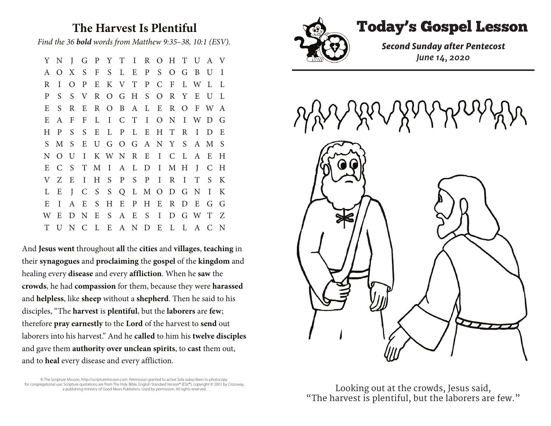## **The Harvest Is Plentiful**

*Find the 36 bold words from Matthew 9:35–38, 10:1 (ESV).*

Y N J G P Y T I R O H T U A V A O X S F S L E P S O G B U I R I O P E K V T P C F L W L L P S S V R O G H S O R Y E U L E S R E R O B A L E R O F W A E A F F L I C T I O N I W D G H P S S E L P L E H T R I D E S M S E U G O G A N Y S A M S N O U I K W N R E I C L A E H E C S T M I A L D I M H J C H V Z E I H S P S P I R I T S K L E J C S S Q L M O D G N I K E I A E S H E P H E R D E G G W E D N E S A E S I D G W T Z T U N C L E A N D E L L A C N

And **Jesuswent** throughout **all** the **cities** and **villages**, **teaching** in their **synagogues** and **proclaiming** the **gospel** of the **kingdom** and healing every **disease** and every **affliction**. When he **saw** the **crowds**, he had **compassion** for them, because they were **harassed** and **helpless**, like **sheep** without a **shepherd**. Then he said to his disciples, "The **harvest** is **plentiful**, but the **laborers** are **few**; therefore **pray earnestly** to the **Lord** of the harvest to **send** out laborers into his harvest." And he **called** to him his **twelve disciples** and gave them **authorityoverunclean spirits**, to **cast** them out, and to **heal** every disease and every affliction.

© The Scripture Mission, http://scripturemission.com. Permission granted to active Sola subscribers to photocopy for congregational use. Scripture quotations are from The Holy Bible, English Standard Version® (ESV®), copyright © 2001 by Crossway, a publishing ministry of Good News Publishers. Used by permission. All rights reserved.





P S S V R O G H S O R Y E U L L A JUSSE JUUU SAJUUC